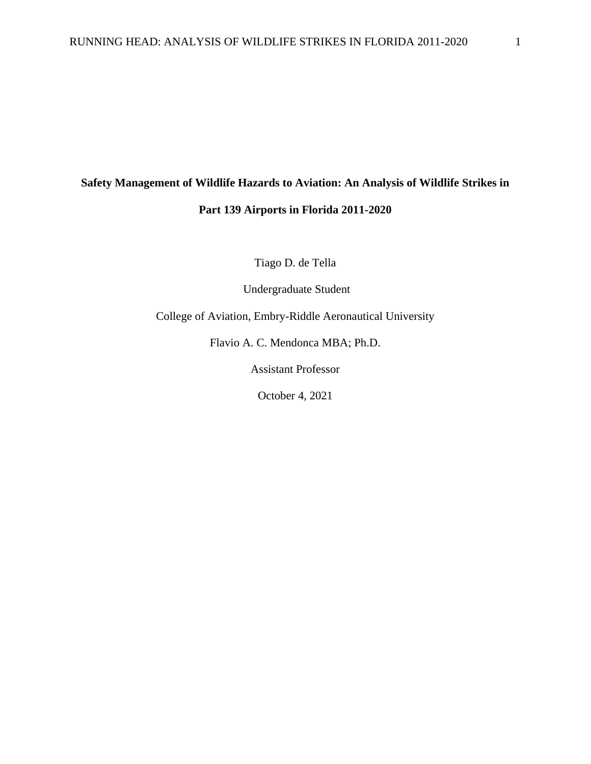# **Safety Management of Wildlife Hazards to Aviation: An Analysis of Wildlife Strikes in Part 139 Airports in Florida 2011-2020**

Tiago D. de Tella

Undergraduate Student

College of Aviation, Embry-Riddle Aeronautical University

Flavio A. C. Mendonca MBA; Ph.D.

Assistant Professor

October 4, 2021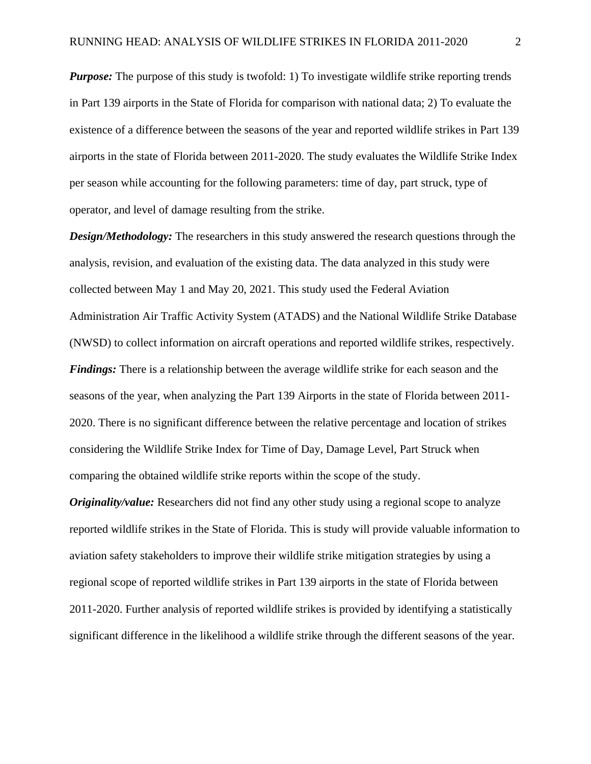*Purpose:* The purpose of this study is twofold: 1) To investigate wildlife strike reporting trends in Part 139 airports in the State of Florida for comparison with national data; 2) To evaluate the existence of a difference between the seasons of the year and reported wildlife strikes in Part 139 airports in the state of Florida between 2011-2020. The study evaluates the Wildlife Strike Index per season while accounting for the following parameters: time of day, part struck, type of operator, and level of damage resulting from the strike.

*Design/Methodology:* The researchers in this study answered the research questions through the analysis, revision, and evaluation of the existing data. The data analyzed in this study were collected between May 1 and May 20, 2021. This study used the Federal Aviation Administration Air Traffic Activity System (ATADS) and the National Wildlife Strike Database (NWSD) to collect information on aircraft operations and reported wildlife strikes, respectively. *Findings:* There is a relationship between the average wildlife strike for each season and the seasons of the year, when analyzing the Part 139 Airports in the state of Florida between 2011- 2020. There is no significant difference between the relative percentage and location of strikes considering the Wildlife Strike Index for Time of Day, Damage Level, Part Struck when comparing the obtained wildlife strike reports within the scope of the study.

*Originality/value:* Researchers did not find any other study using a regional scope to analyze reported wildlife strikes in the State of Florida. This is study will provide valuable information to aviation safety stakeholders to improve their wildlife strike mitigation strategies by using a regional scope of reported wildlife strikes in Part 139 airports in the state of Florida between 2011-2020. Further analysis of reported wildlife strikes is provided by identifying a statistically significant difference in the likelihood a wildlife strike through the different seasons of the year.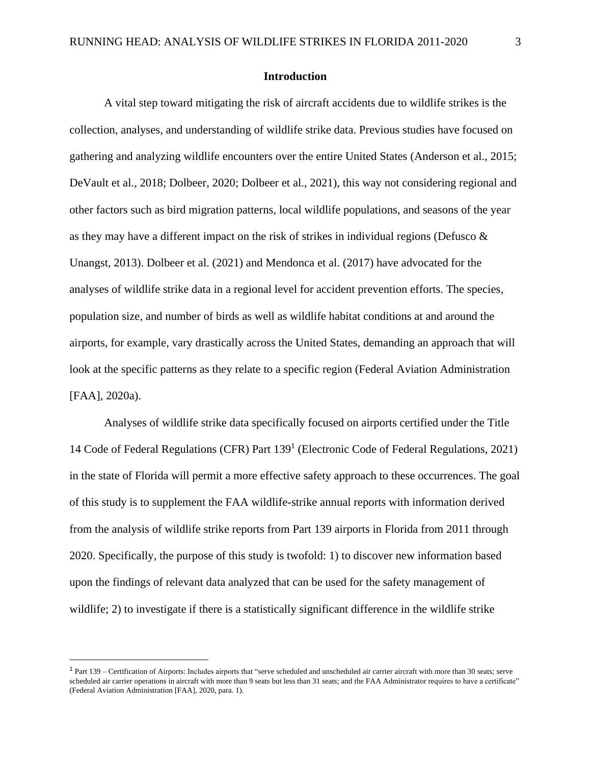#### **Introduction**

A vital step toward mitigating the risk of aircraft accidents due to wildlife strikes is the collection, analyses, and understanding of wildlife strike data. Previous studies have focused on gathering and analyzing wildlife encounters over the entire United States (Anderson et al., 2015; DeVault et al., 2018; Dolbeer, 2020; Dolbeer et al., 2021), this way not considering regional and other factors such as bird migration patterns, local wildlife populations, and seasons of the year as they may have a different impact on the risk of strikes in individual regions (Defusco  $\&$ Unangst, 2013). Dolbeer et al. (2021) and Mendonca et al. (2017) have advocated for the analyses of wildlife strike data in a regional level for accident prevention efforts. The species, population size, and number of birds as well as wildlife habitat conditions at and around the airports, for example, vary drastically across the United States, demanding an approach that will look at the specific patterns as they relate to a specific region (Federal Aviation Administration [FAA], 2020a).

Analyses of wildlife strike data specifically focused on airports certified under the Title 14 Code of Federal Regulations (CFR) Part 139<sup>1</sup> (Electronic Code of Federal Regulations, 2021) in the state of Florida will permit a more effective safety approach to these occurrences. The goal of this study is to supplement the FAA wildlife-strike annual reports with information derived from the analysis of wildlife strike reports from Part 139 airports in Florida from 2011 through 2020. Specifically, the purpose of this study is twofold: 1) to discover new information based upon the findings of relevant data analyzed that can be used for the safety management of wildlife; 2) to investigate if there is a statistically significant difference in the wildlife strike

 $1$ <sup>1</sup> Part 139 – Certification of Airports: Includes airports that "serve scheduled and unscheduled air carrier aircraft with more than 30 seats; serve scheduled air carrier operations in aircraft with more than 9 seats but less than 31 seats; and the FAA Administrator requires to have a certificate" (Federal Aviation Administration [FAA], 2020, para. 1).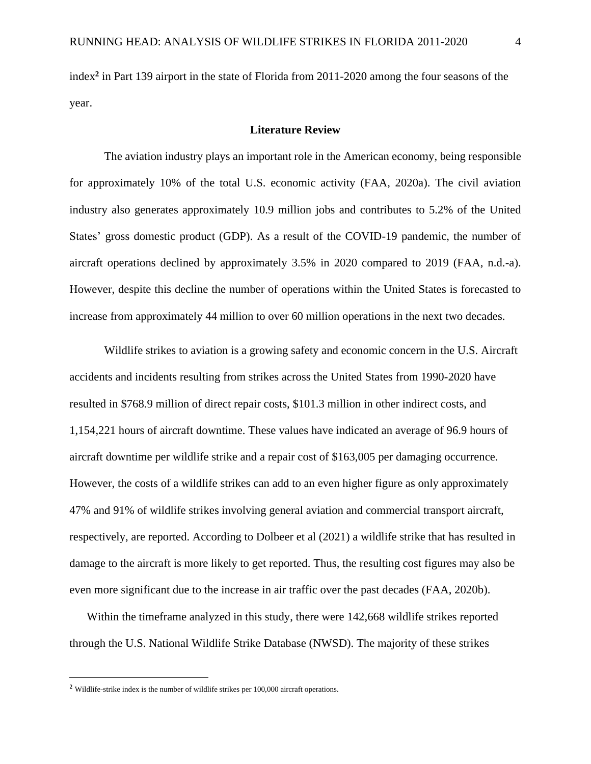index**<sup>2</sup>** in Part 139 airport in the state of Florida from 2011-2020 among the four seasons of the year.

#### **Literature Review**

The aviation industry plays an important role in the American economy, being responsible for approximately 10% of the total U.S. economic activity (FAA, 2020a). The civil aviation industry also generates approximately 10.9 million jobs and contributes to 5.2% of the United States' gross domestic product (GDP). As a result of the COVID-19 pandemic, the number of aircraft operations declined by approximately 3.5% in 2020 compared to 2019 (FAA, n.d.-a). However, despite this decline the number of operations within the United States is forecasted to increase from approximately 44 million to over 60 million operations in the next two decades.

Wildlife strikes to aviation is a growing safety and economic concern in the U.S. Aircraft accidents and incidents resulting from strikes across the United States from 1990-2020 have resulted in \$768.9 million of direct repair costs, \$101.3 million in other indirect costs, and 1,154,221 hours of aircraft downtime. These values have indicated an average of 96.9 hours of aircraft downtime per wildlife strike and a repair cost of \$163,005 per damaging occurrence. However, the costs of a wildlife strikes can add to an even higher figure as only approximately 47% and 91% of wildlife strikes involving general aviation and commercial transport aircraft, respectively, are reported. According to Dolbeer et al (2021) a wildlife strike that has resulted in damage to the aircraft is more likely to get reported. Thus, the resulting cost figures may also be even more significant due to the increase in air traffic over the past decades (FAA, 2020b).

Within the timeframe analyzed in this study, there were 142,668 wildlife strikes reported through the U.S. National Wildlife Strike Database (NWSD). The majority of these strikes

<sup>&</sup>lt;sup>2</sup> Wildlife-strike index is the number of wildlife strikes per 100,000 aircraft operations.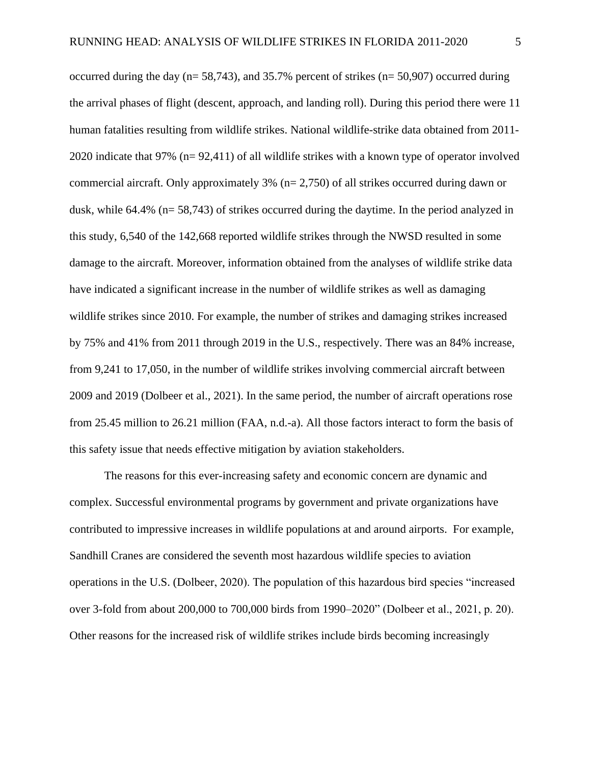occurred during the day ( $n= 58,743$ ), and 35.7% percent of strikes ( $n= 50,907$ ) occurred during the arrival phases of flight (descent, approach, and landing roll). During this period there were 11 human fatalities resulting from wildlife strikes. National wildlife-strike data obtained from 2011- 2020 indicate that 97% (n= 92,411) of all wildlife strikes with a known type of operator involved commercial aircraft. Only approximately 3% (n= 2,750) of all strikes occurred during dawn or dusk, while 64.4% (n= 58,743) of strikes occurred during the daytime. In the period analyzed in this study, 6,540 of the 142,668 reported wildlife strikes through the NWSD resulted in some damage to the aircraft. Moreover, information obtained from the analyses of wildlife strike data have indicated a significant increase in the number of wildlife strikes as well as damaging wildlife strikes since 2010. For example, the number of strikes and damaging strikes increased by 75% and 41% from 2011 through 2019 in the U.S., respectively. There was an 84% increase, from 9,241 to 17,050, in the number of wildlife strikes involving commercial aircraft between 2009 and 2019 (Dolbeer et al., 2021). In the same period, the number of aircraft operations rose from 25.45 million to 26.21 million (FAA, n.d.-a). All those factors interact to form the basis of this safety issue that needs effective mitigation by aviation stakeholders.

The reasons for this ever-increasing safety and economic concern are dynamic and complex. Successful environmental programs by government and private organizations have contributed to impressive increases in wildlife populations at and around airports. For example, Sandhill Cranes are considered the seventh most hazardous wildlife species to aviation operations in the U.S. (Dolbeer, 2020). The population of this hazardous bird species "increased over 3-fold from about 200,000 to 700,000 birds from 1990–2020" (Dolbeer et al., 2021, p. 20). Other reasons for the increased risk of wildlife strikes include birds becoming increasingly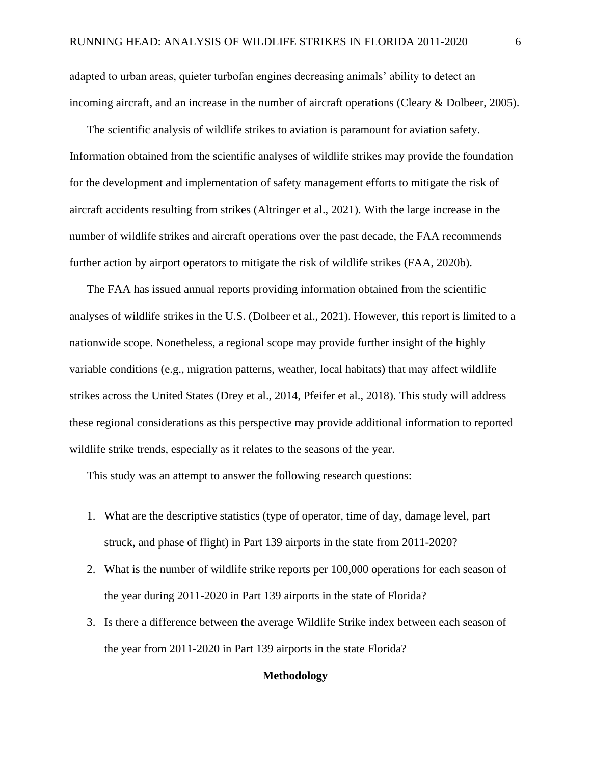adapted to urban areas, quieter turbofan engines decreasing animals' ability to detect an incoming aircraft, and an increase in the number of aircraft operations (Cleary & Dolbeer, 2005).

The scientific analysis of wildlife strikes to aviation is paramount for aviation safety. Information obtained from the scientific analyses of wildlife strikes may provide the foundation for the development and implementation of safety management efforts to mitigate the risk of aircraft accidents resulting from strikes (Altringer et al., 2021). With the large increase in the number of wildlife strikes and aircraft operations over the past decade, the FAA recommends further action by airport operators to mitigate the risk of wildlife strikes (FAA, 2020b).

The FAA has issued annual reports providing information obtained from the scientific analyses of wildlife strikes in the U.S. (Dolbeer et al., 2021). However, this report is limited to a nationwide scope. Nonetheless, a regional scope may provide further insight of the highly variable conditions (e.g., migration patterns, weather, local habitats) that may affect wildlife strikes across the United States (Drey et al., 2014, Pfeifer et al., 2018). This study will address these regional considerations as this perspective may provide additional information to reported wildlife strike trends, especially as it relates to the seasons of the year.

This study was an attempt to answer the following research questions:

- 1. What are the descriptive statistics (type of operator, time of day, damage level, part struck, and phase of flight) in Part 139 airports in the state from 2011-2020?
- 2. What is the number of wildlife strike reports per 100,000 operations for each season of the year during 2011-2020 in Part 139 airports in the state of Florida?
- 3. Is there a difference between the average Wildlife Strike index between each season of the year from 2011-2020 in Part 139 airports in the state Florida?

#### **Methodology**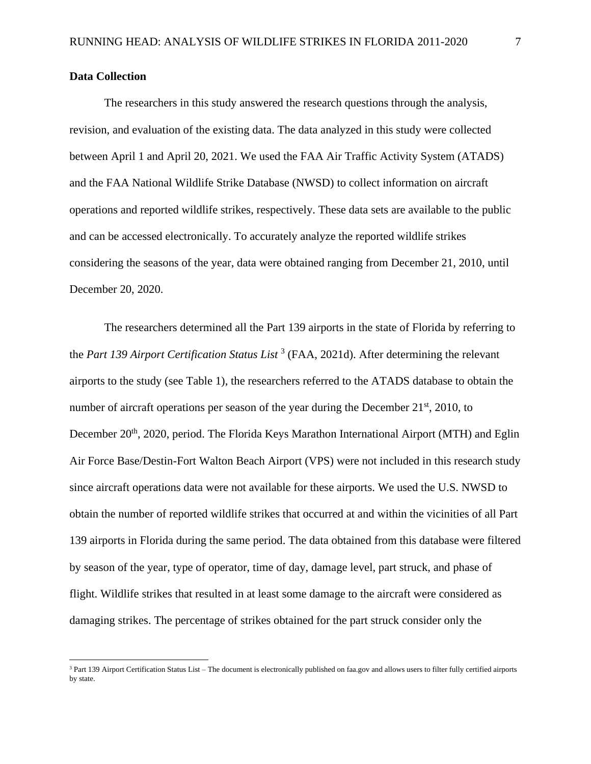### **Data Collection**

The researchers in this study answered the research questions through the analysis, revision, and evaluation of the existing data. The data analyzed in this study were collected between April 1 and April 20, 2021. We used the FAA Air Traffic Activity System (ATADS) and the FAA National Wildlife Strike Database (NWSD) to collect information on aircraft operations and reported wildlife strikes, respectively. These data sets are available to the public and can be accessed electronically. To accurately analyze the reported wildlife strikes considering the seasons of the year, data were obtained ranging from December 21, 2010, until December 20, 2020.

The researchers determined all the Part 139 airports in the state of Florida by referring to the *Part 139 Airport Certification Status List* <sup>3</sup> (FAA, 2021d). After determining the relevant airports to the study (see Table 1), the researchers referred to the ATADS database to obtain the number of aircraft operations per season of the year during the December  $21<sup>st</sup>$ , 2010, to December 20<sup>th</sup>, 2020, period. The Florida Keys Marathon International Airport (MTH) and Eglin Air Force Base/Destin-Fort Walton Beach Airport (VPS) were not included in this research study since aircraft operations data were not available for these airports. We used the U.S. NWSD to obtain the number of reported wildlife strikes that occurred at and within the vicinities of all Part 139 airports in Florida during the same period. The data obtained from this database were filtered by season of the year, type of operator, time of day, damage level, part struck, and phase of flight. Wildlife strikes that resulted in at least some damage to the aircraft were considered as damaging strikes. The percentage of strikes obtained for the part struck consider only the

<sup>&</sup>lt;sup>3</sup> Part 139 Airport Certification Status List – The document is electronically published on faa.gov and allows users to filter fully certified airports by state.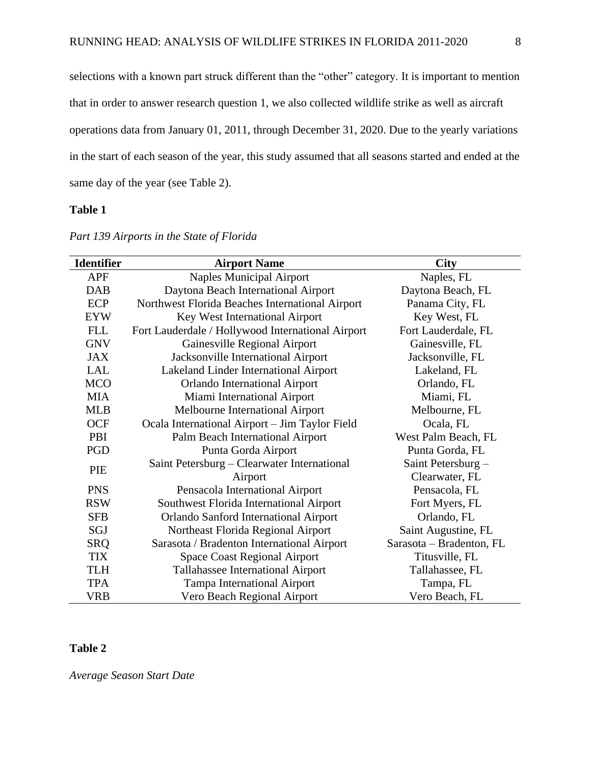selections with a known part struck different than the "other" category. It is important to mention that in order to answer research question 1, we also collected wildlife strike as well as aircraft operations data from January 01, 2011, through December 31, 2020. Due to the yearly variations in the start of each season of the year, this study assumed that all seasons started and ended at the same day of the year (see Table 2).

# **Table 1**

| <b>Identifier</b> | <b>Airport Name</b>                               | <b>City</b>              |
|-------------------|---------------------------------------------------|--------------------------|
| <b>APF</b>        | <b>Naples Municipal Airport</b>                   | Naples, FL               |
| <b>DAB</b>        | Daytona Beach International Airport               | Daytona Beach, FL        |
| ECP               | Northwest Florida Beaches International Airport   | Panama City, FL          |
| <b>EYW</b>        | Key West International Airport                    | Key West, FL             |
| FLL               | Fort Lauderdale / Hollywood International Airport | Fort Lauderdale, FL      |
| <b>GNV</b>        | Gainesville Regional Airport                      | Gainesville, FL          |
| JAX               | Jacksonville International Airport                | Jacksonville, FL         |
| LAL               | Lakeland Linder International Airport             | Lakeland, FL             |
| <b>MCO</b>        | <b>Orlando International Airport</b>              | Orlando, FL              |
| <b>MIA</b>        | Miami International Airport                       | Miami, FL                |
| <b>MLB</b>        | Melbourne International Airport                   | Melbourne, FL            |
| <b>OCF</b>        | Ocala International Airport - Jim Taylor Field    | Ocala, FL                |
| PBI               | Palm Beach International Airport                  | West Palm Beach, FL      |
| PGD               | Punta Gorda Airport                               | Punta Gorda, FL          |
| PIE               | Saint Petersburg – Clearwater International       | Saint Petersburg -       |
|                   | Airport                                           | Clearwater, FL           |
| <b>PNS</b>        | Pensacola International Airport                   | Pensacola, FL            |
| <b>RSW</b>        | Southwest Florida International Airport           | Fort Myers, FL           |
| <b>SFB</b>        | <b>Orlando Sanford International Airport</b>      | Orlando, FL              |
| SGJ               | Northeast Florida Regional Airport                | Saint Augustine, FL      |
| <b>SRQ</b>        | Sarasota / Bradenton International Airport        | Sarasota - Bradenton, FL |
| <b>TIX</b>        | <b>Space Coast Regional Airport</b>               | Titusville, FL           |
| <b>TLH</b>        | Tallahassee International Airport                 | Tallahassee, FL          |
| <b>TPA</b>        | <b>Tampa International Airport</b>                | Tampa, FL                |
| VRB               | Vero Beach Regional Airport                       | Vero Beach, FL           |

#### *Part 139 Airports in the State of Florida*

### **Table 2**

*Average Season Start Date*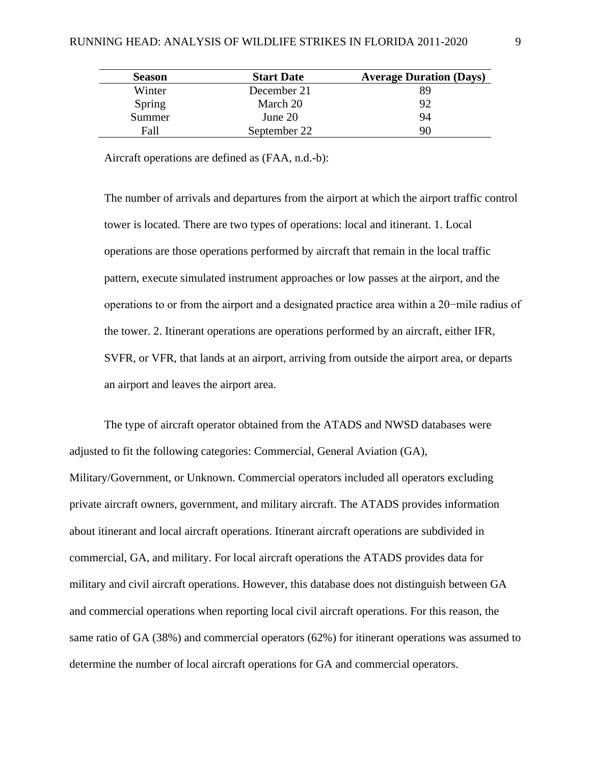| <b>Season</b> | <b>Start Date</b> | <b>Average Duration (Days)</b> |
|---------------|-------------------|--------------------------------|
| Winter        | December 21       | 89                             |
| Spring        | March 20          | 92                             |
| Summer        | June $201$        | 94                             |
| Fall          | September 22      | 90                             |

Aircraft operations are defined as (FAA, n.d.-b):

The number of arrivals and departures from the airport at which the airport traffic control tower is located. There are two types of operations: local and itinerant. 1. Local operations are those operations performed by aircraft that remain in the local traffic pattern, execute simulated instrument approaches or low passes at the airport, and the operations to or from the airport and a designated practice area within a 20−mile radius of the tower. 2. Itinerant operations are operations performed by an aircraft, either IFR, SVFR, or VFR, that lands at an airport, arriving from outside the airport area, or departs an airport and leaves the airport area.

The type of aircraft operator obtained from the ATADS and NWSD databases were adjusted to fit the following categories: Commercial, General Aviation (GA), Military/Government, or Unknown. Commercial operators included all operators excluding private aircraft owners, government, and military aircraft. The ATADS provides information about itinerant and local aircraft operations. Itinerant aircraft operations are subdivided in commercial, GA, and military. For local aircraft operations the ATADS provides data for military and civil aircraft operations. However, this database does not distinguish between GA and commercial operations when reporting local civil aircraft operations. For this reason, the same ratio of GA (38%) and commercial operators (62%) for itinerant operations was assumed to determine the number of local aircraft operations for GA and commercial operators.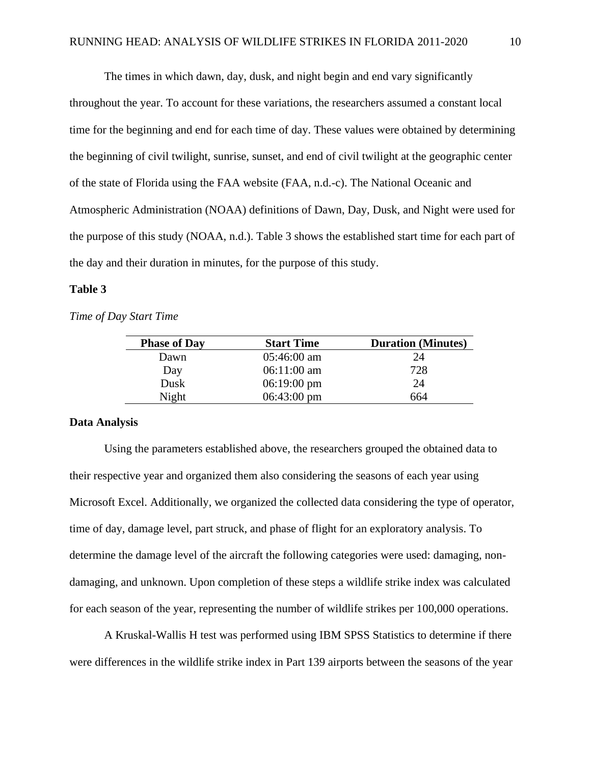The times in which dawn, day, dusk, and night begin and end vary significantly throughout the year. To account for these variations, the researchers assumed a constant local time for the beginning and end for each time of day. These values were obtained by determining the beginning of civil twilight, sunrise, sunset, and end of civil twilight at the geographic center of the state of Florida using the FAA website (FAA, n.d.-c). The National Oceanic and Atmospheric Administration (NOAA) definitions of Dawn, Day, Dusk, and Night were used for the purpose of this study (NOAA, n.d.). Table 3 shows the established start time for each part of the day and their duration in minutes, for the purpose of this study.

#### **Table 3**

*Time of Day Start Time*

| <b>Phase of Day</b> | <b>Start Time</b>     | <b>Duration</b> (Minutes) |
|---------------------|-----------------------|---------------------------|
| Dawn                | $05:46:00$ am         | 24                        |
| Day                 | $06:11:00$ am         | 728                       |
| Dusk                | $06:19:00 \text{ pm}$ | 24                        |
| Night               | $06:43:00 \text{ pm}$ | 664                       |

#### **Data Analysis**

Using the parameters established above, the researchers grouped the obtained data to their respective year and organized them also considering the seasons of each year using Microsoft Excel. Additionally, we organized the collected data considering the type of operator, time of day, damage level, part struck, and phase of flight for an exploratory analysis. To determine the damage level of the aircraft the following categories were used: damaging, nondamaging, and unknown. Upon completion of these steps a wildlife strike index was calculated for each season of the year, representing the number of wildlife strikes per 100,000 operations.

A Kruskal-Wallis H test was performed using IBM SPSS Statistics to determine if there were differences in the wildlife strike index in Part 139 airports between the seasons of the year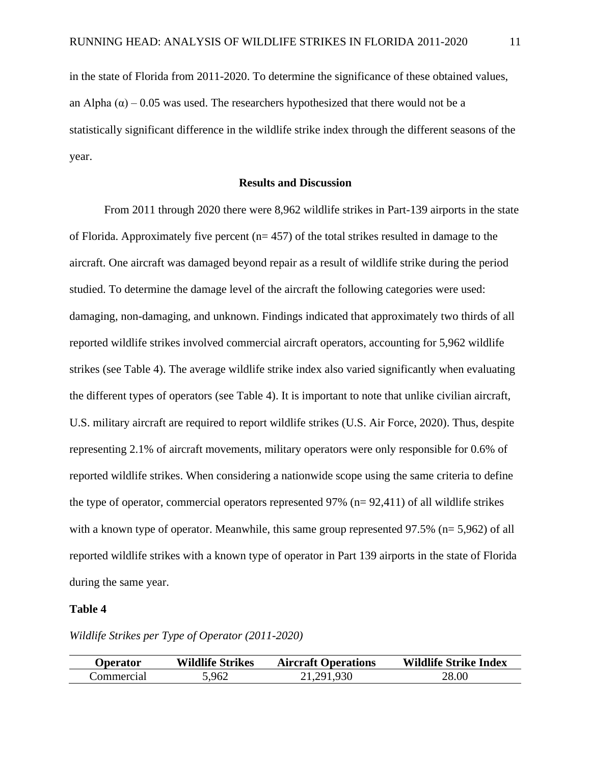in the state of Florida from 2011-2020. To determine the significance of these obtained values, an Alpha  $(\alpha)$  – 0.05 was used. The researchers hypothesized that there would not be a statistically significant difference in the wildlife strike index through the different seasons of the year.

#### **Results and Discussion**

From 2011 through 2020 there were 8,962 wildlife strikes in Part-139 airports in the state of Florida. Approximately five percent  $(n= 457)$  of the total strikes resulted in damage to the aircraft. One aircraft was damaged beyond repair as a result of wildlife strike during the period studied. To determine the damage level of the aircraft the following categories were used: damaging, non-damaging, and unknown. Findings indicated that approximately two thirds of all reported wildlife strikes involved commercial aircraft operators, accounting for 5,962 wildlife strikes (see Table 4). The average wildlife strike index also varied significantly when evaluating the different types of operators (see Table 4). It is important to note that unlike civilian aircraft, U.S. military aircraft are required to report wildlife strikes (U.S. Air Force, 2020). Thus, despite representing 2.1% of aircraft movements, military operators were only responsible for 0.6% of reported wildlife strikes. When considering a nationwide scope using the same criteria to define the type of operator, commercial operators represented 97% (n= 92,411) of all wildlife strikes with a known type of operator. Meanwhile, this same group represented 97.5% (n= 5,962) of all reported wildlife strikes with a known type of operator in Part 139 airports in the state of Florida during the same year.

#### **Table 4**

*Wildlife Strikes per Type of Operator (2011-2020)*

| Operator   | <b>Wildlife Strikes</b> | <b>Aircraft Operations</b> | <b>Wildlife Strike Index</b> |
|------------|-------------------------|----------------------------|------------------------------|
| Commercial | 5,962                   | 21.291.930                 | 28.00                        |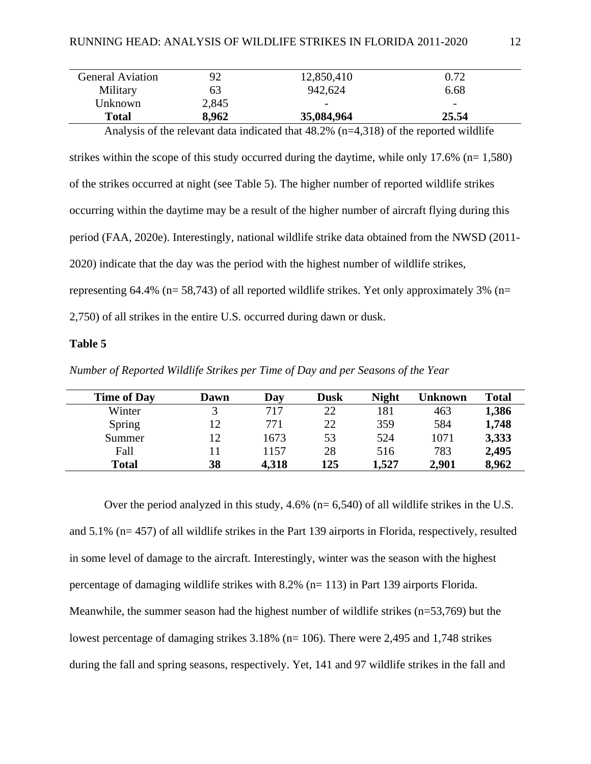| <b>General Aviation</b> | 92    | 12,850,410               | 0.72                         |
|-------------------------|-------|--------------------------|------------------------------|
| Military                | 63    | 942,624                  | 6.68                         |
| Unknown                 | 2,845 | $\overline{\phantom{a}}$ | $\qquad \qquad \blacksquare$ |
| Total                   | 8,962 | 35,084,964               | 25.54                        |

Analysis of the relevant data indicated that 48.2% (n=4,318) of the reported wildlife strikes within the scope of this study occurred during the daytime, while only 17.6% (n= 1,580) of the strikes occurred at night (see Table 5). The higher number of reported wildlife strikes occurring within the daytime may be a result of the higher number of aircraft flying during this period (FAA, 2020e). Interestingly, national wildlife strike data obtained from the NWSD (2011- 2020) indicate that the day was the period with the highest number of wildlife strikes, representing 64.4% ( $n= 58,743$ ) of all reported wildlife strikes. Yet only approximately 3% ( $n=$ 2,750) of all strikes in the entire U.S. occurred during dawn or dusk.

#### **Table 5**

*Number of Reported Wildlife Strikes per Time of Day and per Seasons of the Year*

| <b>Time of Day</b> | Dawn | Day   | <b>Dusk</b> | <b>Night</b> | Unknown | <b>Total</b> |
|--------------------|------|-------|-------------|--------------|---------|--------------|
| Winter             |      | 717   | 22          | 181          | 463     | 1,386        |
| Spring             | 12   | 771   | 22          | 359          | 584     | 1,748        |
| Summer             | 12   | 1673  | 53          | 524          | 1071    | 3,333        |
| Fall               |      | 1157  | 28          | 516          | 783     | 2,495        |
| <b>Total</b>       | 38   | 4,318 | 125         | 1,527        | 2,901   | 8,962        |

Over the period analyzed in this study,  $4.6\%$  (n= 6,540) of all wildlife strikes in the U.S. and 5.1% (n= 457) of all wildlife strikes in the Part 139 airports in Florida, respectively, resulted in some level of damage to the aircraft. Interestingly, winter was the season with the highest percentage of damaging wildlife strikes with 8.2% (n= 113) in Part 139 airports Florida. Meanwhile, the summer season had the highest number of wildlife strikes (n=53,769) but the lowest percentage of damaging strikes 3.18% (n= 106). There were 2,495 and 1,748 strikes during the fall and spring seasons, respectively. Yet, 141 and 97 wildlife strikes in the fall and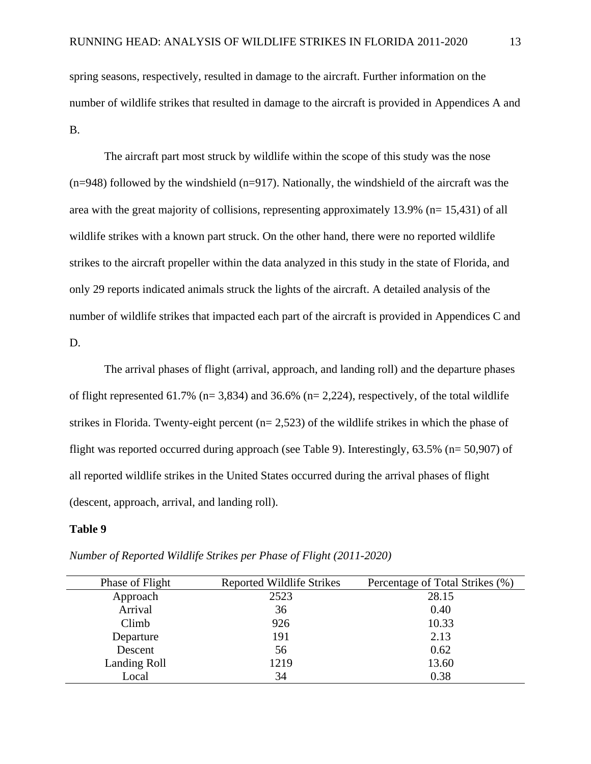spring seasons, respectively, resulted in damage to the aircraft. Further information on the number of wildlife strikes that resulted in damage to the aircraft is provided in Appendices A and B.

The aircraft part most struck by wildlife within the scope of this study was the nose  $(n=948)$  followed by the windshield  $(n=917)$ . Nationally, the windshield of the aircraft was the area with the great majority of collisions, representing approximately 13.9% (n= 15,431) of all wildlife strikes with a known part struck. On the other hand, there were no reported wildlife strikes to the aircraft propeller within the data analyzed in this study in the state of Florida, and only 29 reports indicated animals struck the lights of the aircraft. A detailed analysis of the number of wildlife strikes that impacted each part of the aircraft is provided in Appendices C and D.

The arrival phases of flight (arrival, approach, and landing roll) and the departure phases of flight represented 61.7% ( $n= 3,834$ ) and 36.6% ( $n= 2,224$ ), respectively, of the total wildlife strikes in Florida. Twenty-eight percent (n= 2,523) of the wildlife strikes in which the phase of flight was reported occurred during approach (see Table 9). Interestingly, 63.5% (n= 50,907) of all reported wildlife strikes in the United States occurred during the arrival phases of flight (descent, approach, arrival, and landing roll).

#### **Table 9**

| Phase of Flight | <b>Reported Wildlife Strikes</b> | Percentage of Total Strikes (%) |
|-----------------|----------------------------------|---------------------------------|
| Approach        | 2523                             | 28.15                           |
| Arrival         | 36                               | 0.40                            |
| Climb           | 926                              | 10.33                           |
| Departure       | 191                              | 2.13                            |
| Descent         | 56                               | 0.62                            |
| Landing Roll    | 1219                             | 13.60                           |
| Local           | 34                               | 0.38                            |

*Number of Reported Wildlife Strikes per Phase of Flight (2011-2020)*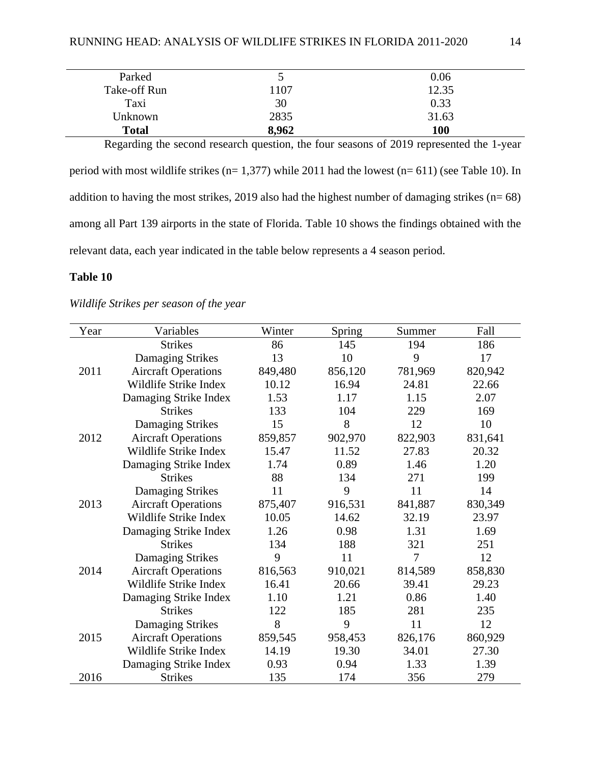| Parked       |       | 0.06  |
|--------------|-------|-------|
| Take-off Run | 1107  | 12.35 |
| Taxi         | 30    | 0.33  |
| Unknown      | 2835  | 31.63 |
| <b>Total</b> | 8,962 | 100   |

Regarding the second research question, the four seasons of 2019 represented the 1-year period with most wildlife strikes (n= 1,377) while 2011 had the lowest (n= 611) (see Table 10). In addition to having the most strikes, 2019 also had the highest number of damaging strikes  $(n= 68)$ among all Part 139 airports in the state of Florida. Table 10 shows the findings obtained with the relevant data, each year indicated in the table below represents a 4 season period.

## **Table 10**

| Wildlife Strikes per season of the year |  |  |  |  |
|-----------------------------------------|--|--|--|--|
|-----------------------------------------|--|--|--|--|

| Year | Variables                  | Winter  | <b>Spring</b> | Summer  | Fall    |
|------|----------------------------|---------|---------------|---------|---------|
|      | <b>Strikes</b>             | 86      | 145           | 194     | 186     |
|      | Damaging Strikes           | 13      | 10            | 9       | 17      |
| 2011 | <b>Aircraft Operations</b> | 849,480 | 856,120       | 781,969 | 820,942 |
|      | Wildlife Strike Index      | 10.12   | 16.94         | 24.81   | 22.66   |
|      | Damaging Strike Index      | 1.53    | 1.17          | 1.15    | 2.07    |
|      | <b>Strikes</b>             | 133     | 104           | 229     | 169     |
|      | Damaging Strikes           | 15      | 8             | 12      | 10      |
| 2012 | <b>Aircraft Operations</b> | 859,857 | 902,970       | 822,903 | 831,641 |
|      | Wildlife Strike Index      | 15.47   | 11.52         | 27.83   | 20.32   |
|      | Damaging Strike Index      | 1.74    | 0.89          | 1.46    | 1.20    |
|      | <b>Strikes</b>             | 88      | 134           | 271     | 199     |
|      | Damaging Strikes           | 11      | 9             | 11      | 14      |
| 2013 | <b>Aircraft Operations</b> | 875,407 | 916,531       | 841,887 | 830,349 |
|      | Wildlife Strike Index      | 10.05   | 14.62         | 32.19   | 23.97   |
|      | Damaging Strike Index      | 1.26    | 0.98          | 1.31    | 1.69    |
|      | <b>Strikes</b>             | 134     | 188           | 321     | 251     |
|      | Damaging Strikes           | 9       | 11            | 7       | 12      |
| 2014 | <b>Aircraft Operations</b> | 816,563 | 910,021       | 814,589 | 858,830 |
|      | Wildlife Strike Index      | 16.41   | 20.66         | 39.41   | 29.23   |
|      | Damaging Strike Index      | 1.10    | 1.21          | 0.86    | 1.40    |
|      | <b>Strikes</b>             | 122     | 185           | 281     | 235     |
|      | Damaging Strikes           | 8       | 9             | 11      | 12      |
| 2015 | <b>Aircraft Operations</b> | 859,545 | 958,453       | 826,176 | 860,929 |
|      | Wildlife Strike Index      | 14.19   | 19.30         | 34.01   | 27.30   |
|      | Damaging Strike Index      | 0.93    | 0.94          | 1.33    | 1.39    |
| 2016 | <b>Strikes</b>             | 135     | 174           | 356     | 279     |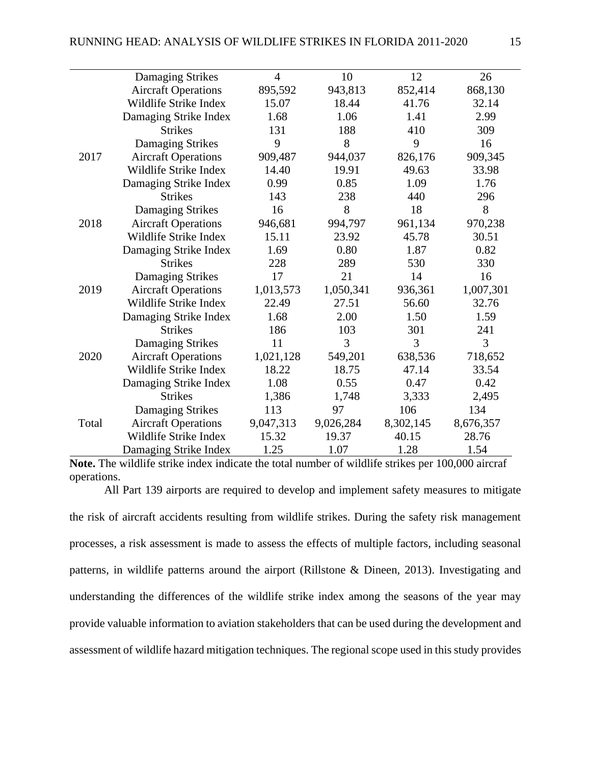|       | Damaging Strikes           | $\overline{4}$ | 10        | 12        | 26        |
|-------|----------------------------|----------------|-----------|-----------|-----------|
|       | <b>Aircraft Operations</b> | 895,592        | 943,813   | 852,414   | 868,130   |
|       | Wildlife Strike Index      | 15.07          | 18.44     | 41.76     | 32.14     |
|       | Damaging Strike Index      | 1.68           | 1.06      | 1.41      | 2.99      |
|       | <b>Strikes</b>             | 131            | 188       | 410       | 309       |
|       | Damaging Strikes           | 9              | 8         | 9         | 16        |
| 2017  | <b>Aircraft Operations</b> | 909,487        | 944,037   | 826,176   | 909,345   |
|       | Wildlife Strike Index      | 14.40          | 19.91     | 49.63     | 33.98     |
|       | Damaging Strike Index      | 0.99           | 0.85      | 1.09      | 1.76      |
|       | <b>Strikes</b>             | 143            | 238       | 440       | 296       |
|       | Damaging Strikes           | 16             | 8         | 18        | 8         |
| 2018  | <b>Aircraft Operations</b> | 946,681        | 994,797   | 961,134   | 970,238   |
|       | Wildlife Strike Index      | 15.11          | 23.92     | 45.78     | 30.51     |
|       | Damaging Strike Index      | 1.69           | 0.80      | 1.87      | 0.82      |
|       | <b>Strikes</b>             | 228            | 289       | 530       | 330       |
|       | Damaging Strikes           | 17             | 21        | 14        | 16        |
| 2019  | <b>Aircraft Operations</b> | 1,013,573      | 1,050,341 | 936,361   | 1,007,301 |
|       | Wildlife Strike Index      | 22.49          | 27.51     | 56.60     | 32.76     |
|       | Damaging Strike Index      | 1.68           | 2.00      | 1.50      | 1.59      |
|       | <b>Strikes</b>             | 186            | 103       | 301       | 241       |
|       | Damaging Strikes           | 11             | 3         | 3         | 3         |
| 2020  | <b>Aircraft Operations</b> | 1,021,128      | 549,201   | 638,536   | 718,652   |
|       | Wildlife Strike Index      | 18.22          | 18.75     | 47.14     | 33.54     |
|       | Damaging Strike Index      | 1.08           | 0.55      | 0.47      | 0.42      |
|       | <b>Strikes</b>             | 1,386          | 1,748     | 3,333     | 2,495     |
|       | Damaging Strikes           | 113            | 97        | 106       | 134       |
| Total | <b>Aircraft Operations</b> | 9,047,313      | 9,026,284 | 8,302,145 | 8,676,357 |
|       | Wildlife Strike Index      | 15.32          | 19.37     | 40.15     | 28.76     |
|       | Damaging Strike Index      | 1.25           | 1.07      | 1.28      | 1.54      |

**Note.** The wildlife strike index indicate the total number of wildlife strikes per 100,000 aircraf operations.

All Part 139 airports are required to develop and implement safety measures to mitigate the risk of aircraft accidents resulting from wildlife strikes. During the safety risk management processes, a risk assessment is made to assess the effects of multiple factors, including seasonal patterns, in wildlife patterns around the airport (Rillstone & Dineen, 2013). Investigating and understanding the differences of the wildlife strike index among the seasons of the year may provide valuable information to aviation stakeholders that can be used during the development and assessment of wildlife hazard mitigation techniques. The regional scope used in this study provides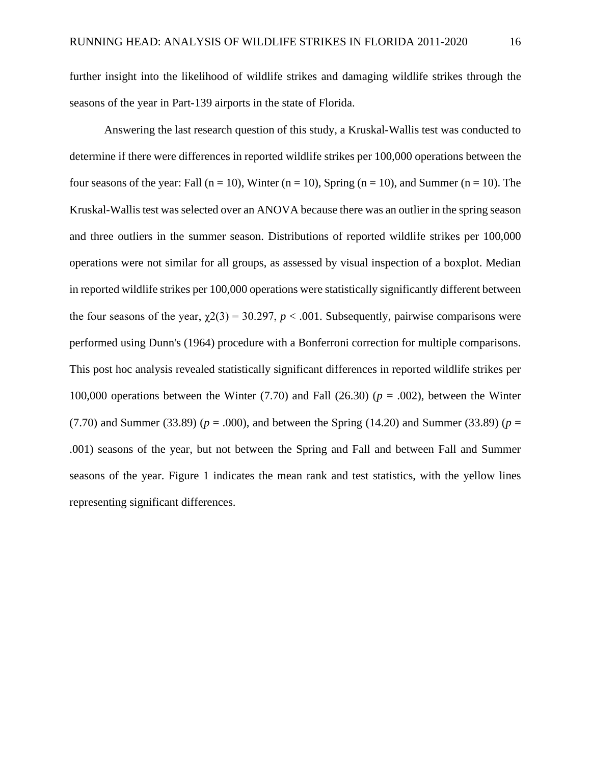further insight into the likelihood of wildlife strikes and damaging wildlife strikes through the seasons of the year in Part-139 airports in the state of Florida.

Answering the last research question of this study, a Kruskal-Wallis test was conducted to determine if there were differences in reported wildlife strikes per 100,000 operations between the four seasons of the year: Fall (n = 10), Winter (n = 10), Spring (n = 10), and Summer (n = 10). The Kruskal-Wallis test was selected over an ANOVA because there was an outlier in the spring season and three outliers in the summer season. Distributions of reported wildlife strikes per 100,000 operations were not similar for all groups, as assessed by visual inspection of a boxplot. Median in reported wildlife strikes per 100,000 operations were statistically significantly different between the four seasons of the year,  $\chi$ 2(3) = 30.297, *p* < .001. Subsequently, pairwise comparisons were performed using Dunn's (1964) procedure with a Bonferroni correction for multiple comparisons. This post hoc analysis revealed statistically significant differences in reported wildlife strikes per 100,000 operations between the Winter  $(7.70)$  and Fall  $(26.30)$   $(p = .002)$ , between the Winter (7.70) and Summer (33.89) ( $p = .000$ ), and between the Spring (14.20) and Summer (33.89) ( $p =$ .001) seasons of the year, but not between the Spring and Fall and between Fall and Summer seasons of the year. Figure 1 indicates the mean rank and test statistics, with the yellow lines representing significant differences.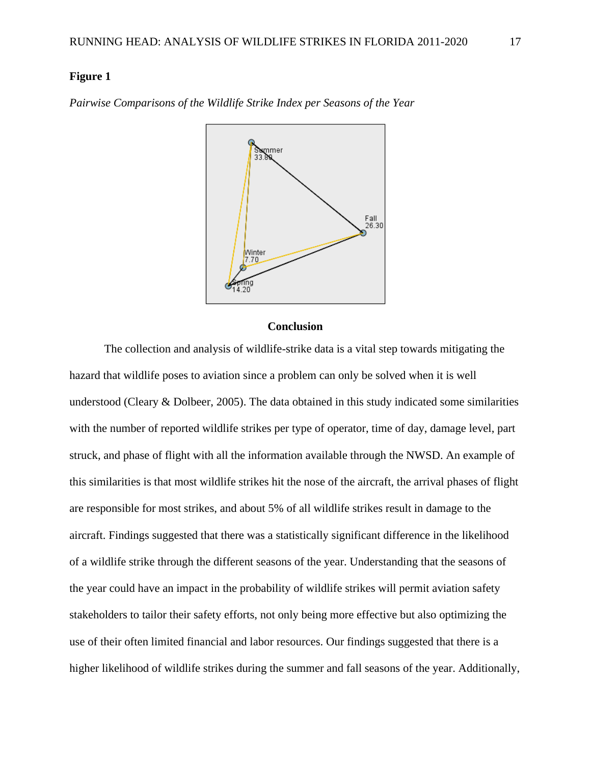#### **Figure 1**



*Pairwise Comparisons of the Wildlife Strike Index per Seasons of the Year*

#### **Conclusion**

The collection and analysis of wildlife-strike data is a vital step towards mitigating the hazard that wildlife poses to aviation since a problem can only be solved when it is well understood (Cleary  $\&$  Dolbeer, 2005). The data obtained in this study indicated some similarities with the number of reported wildlife strikes per type of operator, time of day, damage level, part struck, and phase of flight with all the information available through the NWSD. An example of this similarities is that most wildlife strikes hit the nose of the aircraft, the arrival phases of flight are responsible for most strikes, and about 5% of all wildlife strikes result in damage to the aircraft. Findings suggested that there was a statistically significant difference in the likelihood of a wildlife strike through the different seasons of the year. Understanding that the seasons of the year could have an impact in the probability of wildlife strikes will permit aviation safety stakeholders to tailor their safety efforts, not only being more effective but also optimizing the use of their often limited financial and labor resources. Our findings suggested that there is a higher likelihood of wildlife strikes during the summer and fall seasons of the year. Additionally,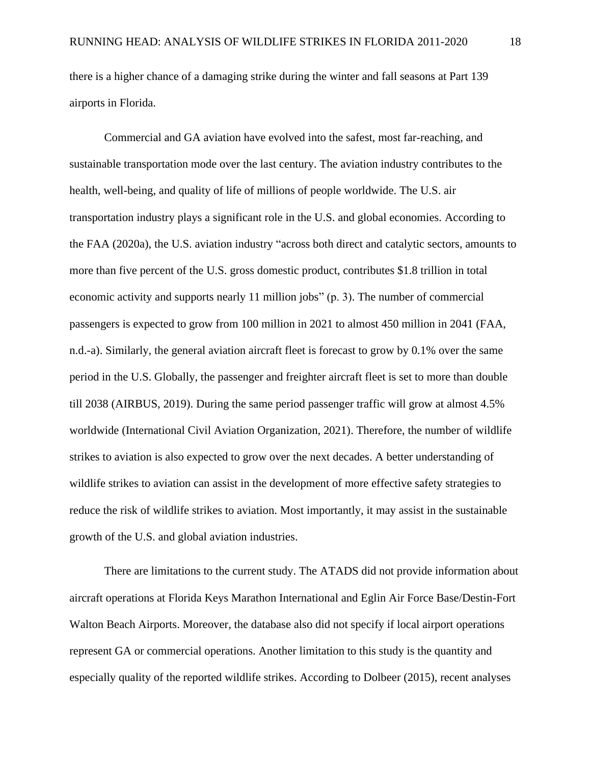there is a higher chance of a damaging strike during the winter and fall seasons at Part 139 airports in Florida.

Commercial and GA aviation have evolved into the safest, most far-reaching, and sustainable transportation mode over the last century. The aviation industry contributes to the health, well-being, and quality of life of millions of people worldwide. The U.S. air transportation industry plays a significant role in the U.S. and global economies. According to the FAA (2020a), the U.S. aviation industry "across both direct and catalytic sectors, amounts to more than five percent of the U.S. gross domestic product, contributes \$1.8 trillion in total economic activity and supports nearly 11 million jobs" (p. 3). The number of commercial passengers is expected to grow from 100 million in 2021 to almost 450 million in 2041 (FAA, n.d.-a). Similarly, the general aviation aircraft fleet is forecast to grow by 0.1% over the same period in the U.S. Globally, the passenger and freighter aircraft fleet is set to more than double till 2038 (AIRBUS, 2019). During the same period passenger traffic will grow at almost 4.5% worldwide (International Civil Aviation Organization, 2021). Therefore, the number of wildlife strikes to aviation is also expected to grow over the next decades. A better understanding of wildlife strikes to aviation can assist in the development of more effective safety strategies to reduce the risk of wildlife strikes to aviation. Most importantly, it may assist in the sustainable growth of the U.S. and global aviation industries.

There are limitations to the current study. The ATADS did not provide information about aircraft operations at Florida Keys Marathon International and Eglin Air Force Base/Destin-Fort Walton Beach Airports. Moreover, the database also did not specify if local airport operations represent GA or commercial operations. Another limitation to this study is the quantity and especially quality of the reported wildlife strikes. According to Dolbeer (2015), recent analyses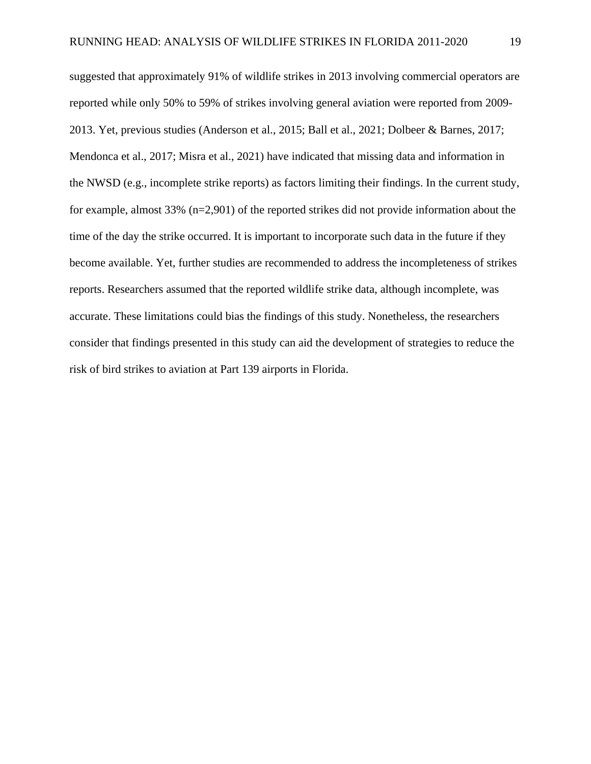suggested that approximately 91% of wildlife strikes in 2013 involving commercial operators are reported while only 50% to 59% of strikes involving general aviation were reported from 2009- 2013. Yet, previous studies (Anderson et al., 2015; Ball et al., 2021; Dolbeer & Barnes, 2017; Mendonca et al., 2017; Misra et al., 2021) have indicated that missing data and information in the NWSD (e.g., incomplete strike reports) as factors limiting their findings. In the current study, for example, almost 33% (n=2,901) of the reported strikes did not provide information about the time of the day the strike occurred. It is important to incorporate such data in the future if they become available. Yet, further studies are recommended to address the incompleteness of strikes reports. Researchers assumed that the reported wildlife strike data, although incomplete, was accurate. These limitations could bias the findings of this study. Nonetheless, the researchers consider that findings presented in this study can aid the development of strategies to reduce the risk of bird strikes to aviation at Part 139 airports in Florida.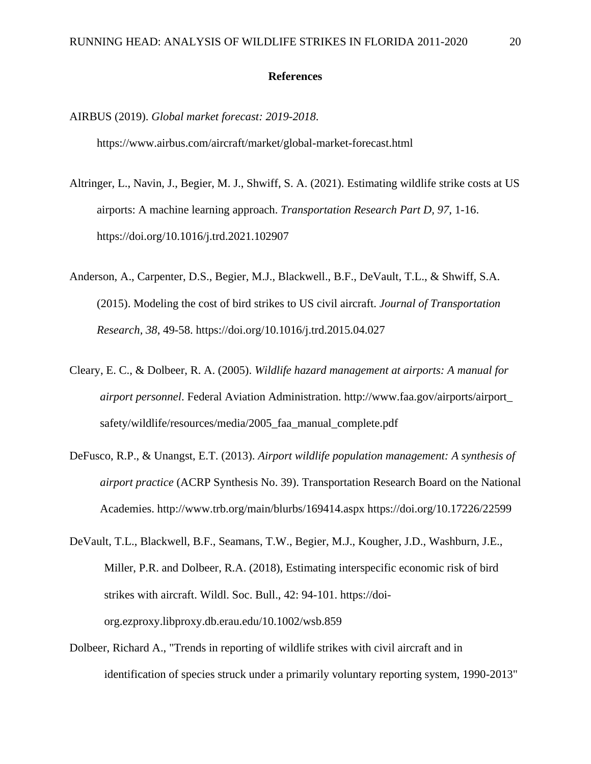#### **References**

#### AIRBUS (2019). *Global market forecast: 2019-2018*.

https://www.airbus.com/aircraft/market/global-market-forecast.html

- Altringer, L., Navin, J., Begier, M. J., Shwiff, S. A. (2021). Estimating wildlife strike costs at US airports: A machine learning approach. *Transportation Research Part D, 97*, 1-16. https://doi.org/10.1016/j.trd.2021.102907
- Anderson, A., Carpenter, D.S., Begier, M.J., Blackwell., B.F., DeVault, T.L., & Shwiff, S.A. (2015). Modeling the cost of bird strikes to US civil aircraft. *Journal of Transportation Research, 38*, 49-58. https://doi.org/10.1016/j.trd.2015.04.027
- Cleary, E. C., & Dolbeer, R. A. (2005). *Wildlife hazard management at airports: A manual for airport personnel*. Federal Aviation Administration. http://www.faa.gov/airports/airport\_ safety/wildlife/resources/media/2005\_faa\_manual\_complete.pdf
- DeFusco, R.P., & Unangst, E.T. (2013). *Airport wildlife population management: A synthesis of airport practice* (ACRP Synthesis No. 39). Transportation Research Board on the National Academies. http://www.trb.org/main/blurbs/169414.aspx https://doi.org/10.17226/22599
- DeVault, T.L., Blackwell, B.F., Seamans, T.W., Begier, M.J., Kougher, J.D., Washburn, J.E., Miller, P.R. and Dolbeer, R.A. (2018), Estimating interspecific economic risk of bird strikes with aircraft. Wildl. Soc. Bull., 42: 94-101. https://doiorg.ezproxy.libproxy.db.erau.edu/10.1002/wsb.859
- Dolbeer, Richard A., "Trends in reporting of wildlife strikes with civil aircraft and in identification of species struck under a primarily voluntary reporting system, 1990-2013"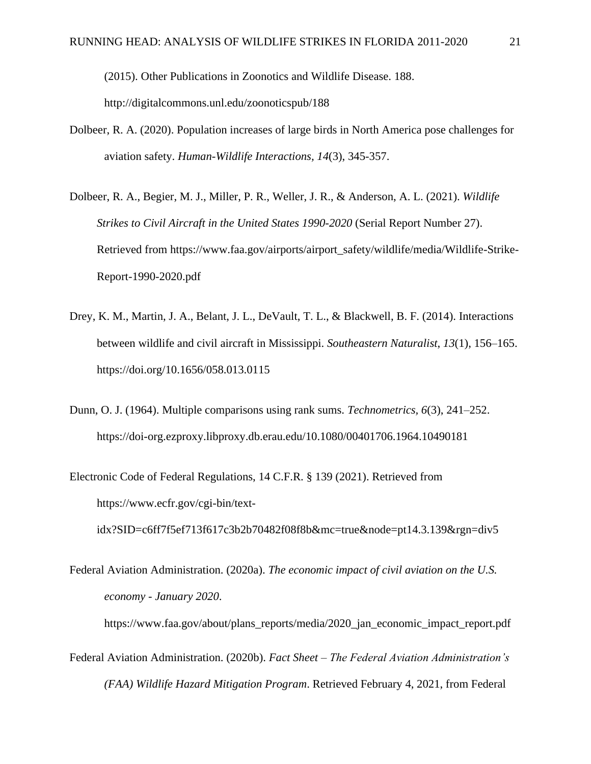(2015). Other Publications in Zoonotics and Wildlife Disease. 188.

http://digitalcommons.unl.edu/zoonoticspub/188

- Dolbeer, R. A. (2020). Population increases of large birds in North America pose challenges for aviation safety. *Human-Wildlife Interactions, 14*(3), 345-357.
- Dolbeer, R. A., Begier, M. J., Miller, P. R., Weller, J. R., & Anderson, A. L. (2021). *Wildlife Strikes to Civil Aircraft in the United States 1990-2020* (Serial Report Number 27). Retrieved from https://www.faa.gov/airports/airport\_safety/wildlife/media/Wildlife-Strike-Report-1990-2020.pdf
- Drey, K. M., Martin, J. A., Belant, J. L., DeVault, T. L., & Blackwell, B. F. (2014). Interactions between wildlife and civil aircraft in Mississippi. *Southeastern Naturalist*, *13*(1), 156–165. https://doi.org/10.1656/058.013.0115
- Dunn, O. J. (1964). Multiple comparisons using rank sums. *Technometrics, 6*(3), 241–252. https://doi-org.ezproxy.libproxy.db.erau.edu/10.1080/00401706.1964.10490181
- Electronic Code of Federal Regulations, 14 C.F.R. § 139 (2021). Retrieved from https://www.ecfr.gov/cgi-bin/textidx?SID=c6ff7f5ef713f617c3b2b70482f08f8b&mc=true&node=pt14.3.139&rgn=div5
- Federal Aviation Administration. (2020a). *The economic impact of civil aviation on the U.S. economy - January 2020*.

https://www.faa.gov/about/plans\_reports/media/2020\_jan\_economic\_impact\_report.pdf

Federal Aviation Administration. (2020b). *Fact Sheet – The Federal Aviation Administration's (FAA) Wildlife Hazard Mitigation Program*. Retrieved February 4, 2021, from Federal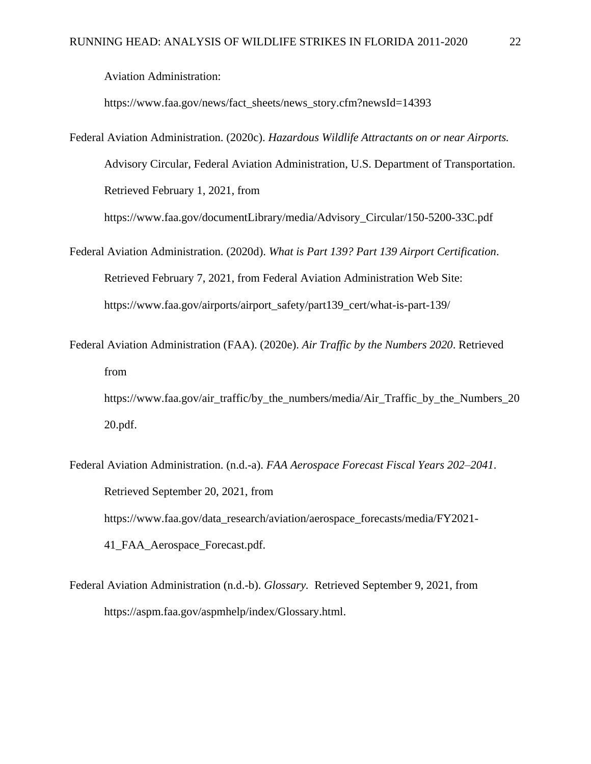Aviation Administration:

https://www.faa.gov/news/fact\_sheets/news\_story.cfm?newsId=14393

- Federal Aviation Administration. (2020c). *Hazardous Wildlife Attractants on or near Airports.* Advisory Circular, Federal Aviation Administration, U.S. Department of Transportation. Retrieved February 1, 2021, from https://www.faa.gov/documentLibrary/media/Advisory\_Circular/150-5200-33C.pdf
- Federal Aviation Administration. (2020d). *What is Part 139? Part 139 Airport Certification*. Retrieved February 7, 2021, from Federal Aviation Administration Web Site: https://www.faa.gov/airports/airport\_safety/part139\_cert/what-is-part-139/
- Federal Aviation Administration (FAA). (2020e). *Air Traffic by the Numbers 2020*. Retrieved from

https://www.faa.gov/air\_traffic/by\_the\_numbers/media/Air\_Traffic\_by\_the\_Numbers\_20 20.pdf.

- Federal Aviation Administration. (n.d.-a). *FAA Aerospace Forecast Fiscal Years 202–2041*. Retrieved September 20, 2021, from https://www.faa.gov/data\_research/aviation/aerospace\_forecasts/media/FY2021- 41\_FAA\_Aerospace\_Forecast.pdf.
- Federal Aviation Administration (n.d.-b). *Glossary.* Retrieved September 9, 2021, from https://aspm.faa.gov/aspmhelp/index/Glossary.html.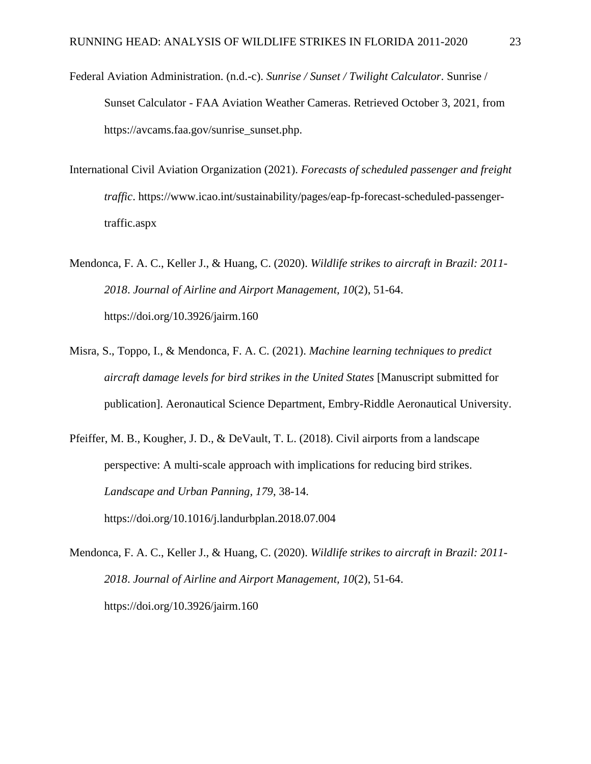- Federal Aviation Administration. (n.d.-c). *Sunrise / Sunset / Twilight Calculator*. Sunrise / Sunset Calculator - FAA Aviation Weather Cameras. Retrieved October 3, 2021, from https://avcams.faa.gov/sunrise\_sunset.php.
- International Civil Aviation Organization (2021). *Forecasts of scheduled passenger and freight traffic*. https://www.icao.int/sustainability/pages/eap-fp-forecast-scheduled-passengertraffic.aspx
- Mendonca, F. A. C., Keller J., & Huang, C. (2020). *Wildlife strikes to aircraft in Brazil: 2011- 2018*. *Journal of Airline and Airport Management, 10*(2), 51-64. https://doi.org/10.3926/jairm.160
- Misra, S., Toppo, I., & Mendonca, F. A. C. (2021). *Machine learning techniques to predict aircraft damage levels for bird strikes in the United States* [Manuscript submitted for publication]. Aeronautical Science Department, Embry-Riddle Aeronautical University.
- Pfeiffer, M. B., Kougher, J. D., & DeVault, T. L. (2018). Civil airports from a landscape perspective: A multi-scale approach with implications for reducing bird strikes. *Landscape and Urban Panning, 179*, 38-14. https://doi.org/10.1016/j.landurbplan.2018.07.004
- Mendonca, F. A. C., Keller J., & Huang, C. (2020). *Wildlife strikes to aircraft in Brazil: 2011- 2018*. *Journal of Airline and Airport Management, 10*(2), 51-64. https://doi.org/10.3926/jairm.160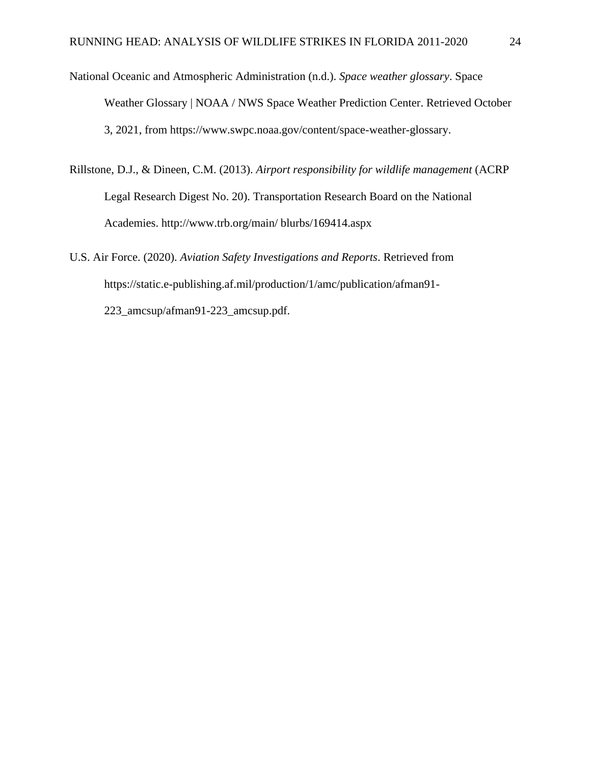- National Oceanic and Atmospheric Administration (n.d.). *Space weather glossary*. Space Weather Glossary | NOAA / NWS Space Weather Prediction Center. Retrieved October 3, 2021, from https://www.swpc.noaa.gov/content/space-weather-glossary.
- Rillstone, D.J., & Dineen, C.M. (2013). *Airport responsibility for wildlife management* (ACRP Legal Research Digest No. 20). Transportation Research Board on the National Academies. http://www.trb.org/main/ blurbs/169414.aspx
- U.S. Air Force. (2020). *Aviation Safety Investigations and Reports*. Retrieved from https://static.e-publishing.af.mil/production/1/amc/publication/afman91- 223\_amcsup/afman91-223\_amcsup.pdf.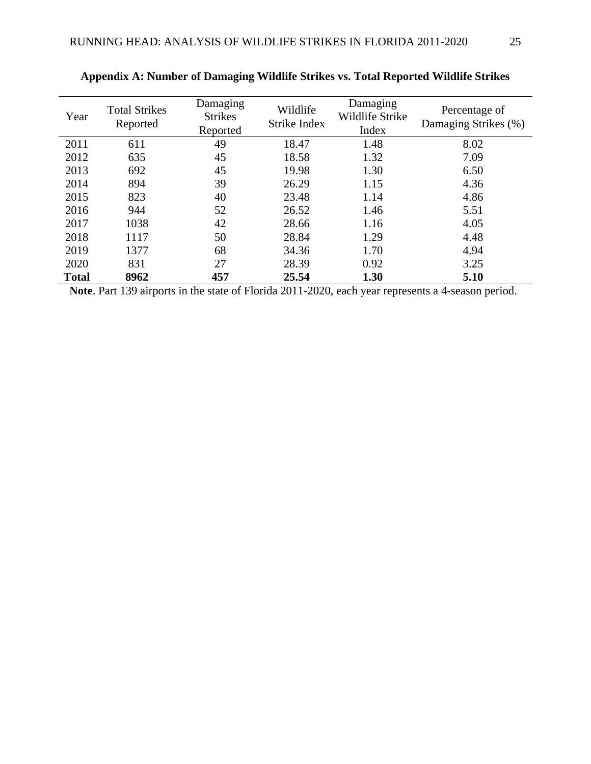| Year         | <b>Total Strikes</b><br>Reported | Damaging<br><b>Strikes</b><br>Reported | Wildlife<br>Strike Index | Damaging<br>Wildlife Strike<br>Index | Percentage of<br>Damaging Strikes (%) |
|--------------|----------------------------------|----------------------------------------|--------------------------|--------------------------------------|---------------------------------------|
| 2011         | 611                              | 49                                     | 18.47                    | 1.48                                 | 8.02                                  |
| 2012         | 635                              | 45                                     | 18.58                    | 1.32                                 | 7.09                                  |
| 2013         | 692                              | 45                                     | 19.98                    | 1.30                                 | 6.50                                  |
| 2014         | 894                              | 39                                     | 26.29                    | 1.15                                 | 4.36                                  |
| 2015         | 823                              | 40                                     | 23.48                    | 1.14                                 | 4.86                                  |
| 2016         | 944                              | 52                                     | 26.52                    | 1.46                                 | 5.51                                  |
| 2017         | 1038                             | 42                                     | 28.66                    | 1.16                                 | 4.05                                  |
| 2018         | 1117                             | 50                                     | 28.84                    | 1.29                                 | 4.48                                  |
| 2019         | 1377                             | 68                                     | 34.36                    | 1.70                                 | 4.94                                  |
| 2020         | 831                              | 27                                     | 28.39                    | 0.92                                 | 3.25                                  |
| <b>Total</b> | 8962                             | 457                                    | 25.54                    | 1.30                                 | 5.10                                  |

**Appendix A: Number of Damaging Wildlife Strikes vs. Total Reported Wildlife Strikes**

**Note**. Part 139 airports in the state of Florida 2011-2020, each year represents a 4-season period.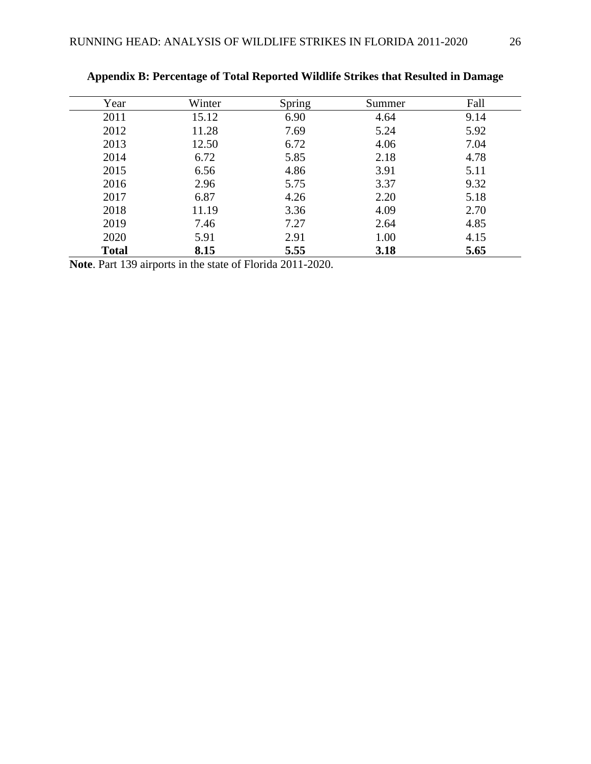| Year         | Winter | Spring | Summer | Fall |
|--------------|--------|--------|--------|------|
| 2011         | 15.12  | 6.90   | 4.64   | 9.14 |
| 2012         | 11.28  | 7.69   | 5.24   | 5.92 |
| 2013         | 12.50  | 6.72   | 4.06   | 7.04 |
| 2014         | 6.72   | 5.85   | 2.18   | 4.78 |
| 2015         | 6.56   | 4.86   | 3.91   | 5.11 |
| 2016         | 2.96   | 5.75   | 3.37   | 9.32 |
| 2017         | 6.87   | 4.26   | 2.20   | 5.18 |
| 2018         | 11.19  | 3.36   | 4.09   | 2.70 |
| 2019         | 7.46   | 7.27   | 2.64   | 4.85 |
| 2020         | 5.91   | 2.91   | 1.00   | 4.15 |
| <b>Total</b> | 8.15   | 5.55   | 3.18   | 5.65 |

**Appendix B: Percentage of Total Reported Wildlife Strikes that Resulted in Damage**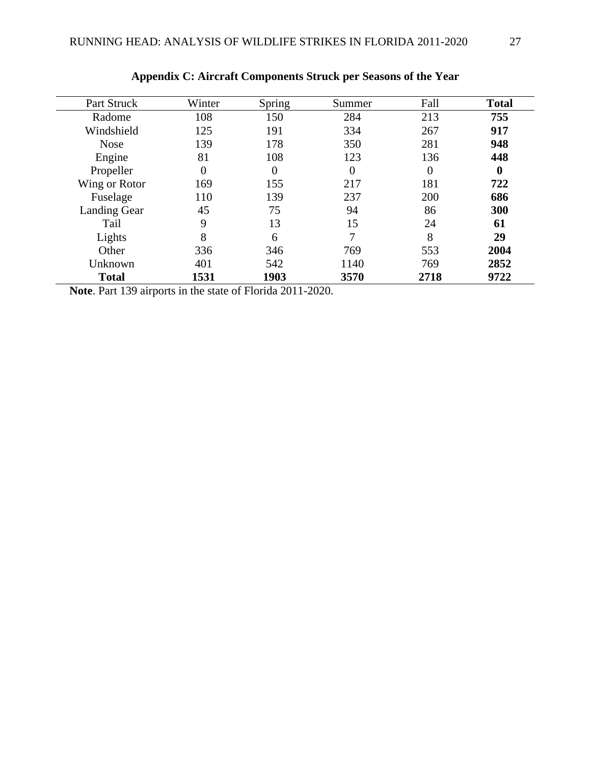| Part Struck   | Winter   | Spring         | Summer   | Fall           | <b>Total</b> |
|---------------|----------|----------------|----------|----------------|--------------|
| Radome        | 108      | 150            | 284      | 213            | 755          |
| Windshield    | 125      | 191            | 334      | 267            | 917          |
| <b>Nose</b>   | 139      | 178            | 350      | 281            | 948          |
| Engine        | 81       | 108            | 123      | 136            | 448          |
| Propeller     | $\Omega$ | $\overline{0}$ | $\theta$ | $\overline{0}$ | 0            |
| Wing or Rotor | 169      | 155            | 217      | 181            | 722          |
| Fuselage      | 110      | 139            | 237      | 200            | 686          |
| Landing Gear  | 45       | 75             | 94       | 86             | 300          |
| Tail          | 9        | 13             | 15       | 24             | 61           |
| Lights        | 8        | 6              | 7        | 8              | 29           |
| Other         | 336      | 346            | 769      | 553            | 2004         |
| Unknown       | 401      | 542            | 1140     | 769            | 2852         |
| <b>Total</b>  | 1531     | 1903           | 3570     | 2718           | 9722         |

# **Appendix C: Aircraft Components Struck per Seasons of the Year**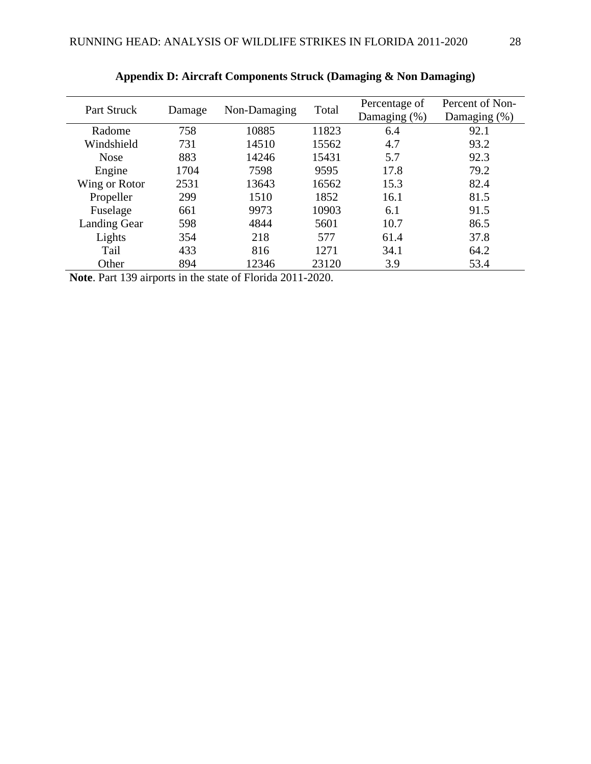| Part Struck   | Damage | Non-Damaging | Total | Percentage of<br>Damaging $(\%)$ | Percent of Non-<br>Damaging $(\%)$ |  |
|---------------|--------|--------------|-------|----------------------------------|------------------------------------|--|
| 758<br>Radome |        |              |       |                                  |                                    |  |
|               |        | 10885        | 11823 | 6.4                              | 92.1                               |  |
| Windshield    | 731    | 14510        | 15562 | 4.7                              | 93.2                               |  |
| <b>Nose</b>   | 883    | 14246        | 15431 | 5.7                              | 92.3                               |  |
| Engine        | 1704   | 7598         | 9595  | 17.8                             | 79.2                               |  |
| Wing or Rotor | 2531   | 13643        | 16562 | 15.3                             | 82.4                               |  |
| Propeller     | 299    | 1510         | 1852  | 16.1                             | 81.5                               |  |
| Fuselage      | 661    | 9973         | 10903 | 6.1                              | 91.5                               |  |
| Landing Gear  | 598    | 4844         | 5601  | 10.7                             | 86.5                               |  |
| Lights        | 354    | 218          | 577   | 61.4                             | 37.8                               |  |
| Tail          | 433    | 816          | 1271  | 34.1                             | 64.2                               |  |
| Other         | 894    | 12346        | 23120 | 3.9                              | 53.4                               |  |

**Appendix D: Aircraft Components Struck (Damaging & Non Damaging)**